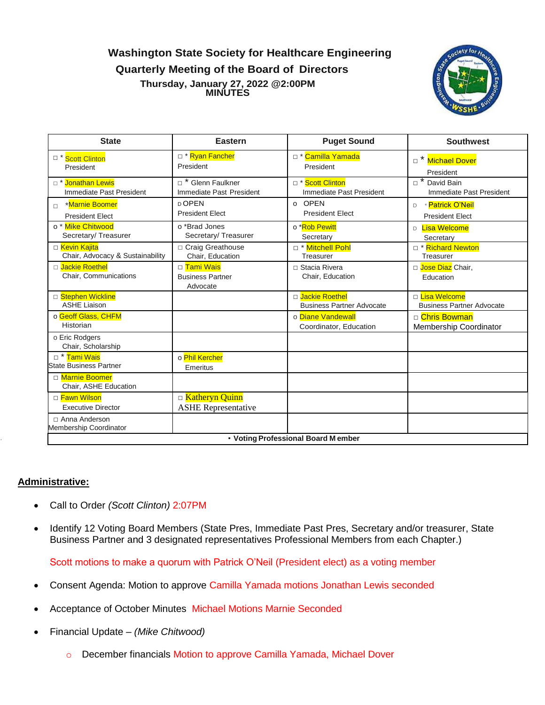**Washington State Society for Healthcare Engineering** 

**Quarterly Meeting of the Board of Directors**

**Thursday, January 27, 2022 @2:00PM MINUTES**



| <b>State</b>                                              | <b>Eastern</b>                                          | <b>Puget Sound</b>                                       | <b>Southwest</b>                                   |  |
|-----------------------------------------------------------|---------------------------------------------------------|----------------------------------------------------------|----------------------------------------------------|--|
| <sup>1</sup> Scott Clinton<br>President                   | □ * Ryan Fancher<br>President                           | □ * Camilla Yamada<br>President                          | Michael Dover<br>President                         |  |
| □ * Jonathan Lewis<br>Immediate Past President            | <sup>*</sup> Glenn Faulkner<br>Immediate Past President | D <sup>*</sup> Scott Clinton<br>Immediate Past President | David Bain<br>Immediate Past President             |  |
| <b>*Marnie Boomer</b><br>$\Box$<br><b>President Elect</b> | D OPEN<br><b>President Elect</b>                        | o OPEN<br><b>President Elect</b>                         | * Patrick O'Neil<br>D<br><b>President Elect</b>    |  |
| o <sup>*</sup> Mike Chitwood<br>Secretary/Treasurer       | o *Brad Jones<br>Secretary/Treasurer                    | o *Rob Pewitt<br>Secretary                               | Lisa Welcome<br>D<br>Secretary                     |  |
| □ Kevin Kajita<br>Chair, Advocacy & Sustainability        | □ Craig Greathouse<br>Chair, Education                  | □ * Mitchell Pohl<br>Treasurer                           | □ * Richard Newton<br>Treasurer                    |  |
| □ Jackie Roethel<br>Chair, Communications                 | □ Tami Wais<br><b>Business Partner</b><br>Advocate      | □ Stacia Rivera<br>Chair, Education                      | □ Jose Diaz Chair,<br>Education                    |  |
| □ Stephen Wickline<br><b>ASHE Liaison</b>                 |                                                         | D Jackie Roethel<br><b>Business Partner Advocate</b>     | □ Lisa Welcome<br><b>Business Partner Advocate</b> |  |
| o Geoff Glass, CHFM<br>Historian                          |                                                         | o Diane Vandewall<br>Coordinator, Education              | □ Chris Bowman<br>Membership Coordinator           |  |
| o Eric Rodgers<br>Chair, Scholarship                      |                                                         |                                                          |                                                    |  |
| □ * Tami Wais<br><b>State Business Partner</b>            | o Phil Kercher<br>Emeritus                              |                                                          |                                                    |  |
| □ Marnie Boomer<br>Chair, ASHE Education                  |                                                         |                                                          |                                                    |  |
| □ Fawn Wilson<br><b>Executive Director</b>                | □ Katheryn Quinn<br><b>ASHE</b> Representative          |                                                          |                                                    |  |
| □ Anna Anderson<br>Membership Coordinator                 |                                                         |                                                          |                                                    |  |
| • Voting Professional Board Member                        |                                                         |                                                          |                                                    |  |

## **Administrative:**

- Call to Order *(Scott Clinton)* 2:07PM
- Identify 12 Voting Board Members (State Pres, Immediate Past Pres, Secretary and/or treasurer, State Business Partner and 3 designated representatives Professional Members from each Chapter.)

Scott motions to make a quorum with Patrick O'Neil (President elect) as a voting member

- Consent Agenda: Motion to approve Camilla Yamada motions Jonathan Lewis seconded
- Acceptance of October Minutes Michael Motions Marnie Seconded
- Financial Update *(Mike Chitwood)*
	- o December financials Motion to approve Camilla Yamada, Michael Dover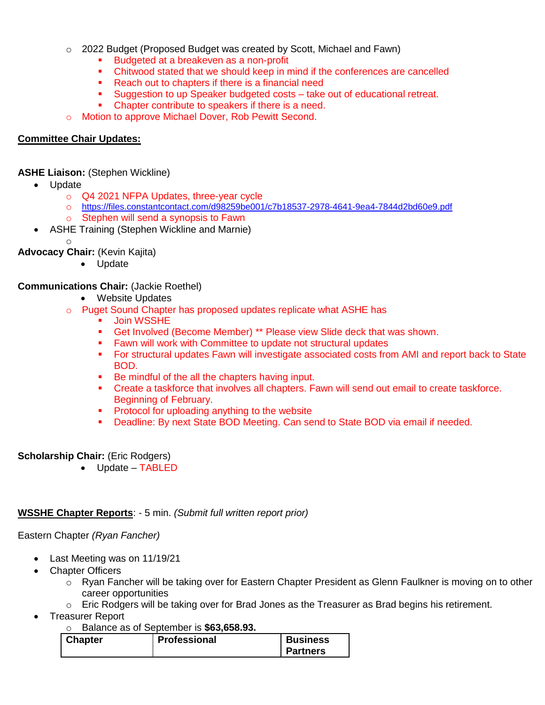- $\circ$  2022 Budget (Proposed Budget was created by Scott, Michael and Fawn)
	- Budgeted at a breakeven as a non-profit
	- Chitwood stated that we should keep in mind if the conferences are cancelled
	- Reach out to chapters if there is a financial need
	- Suggestion to up Speaker budgeted costs take out of educational retreat.
	- Chapter contribute to speakers if there is a need.

o Motion to approve Michael Dover, Rob Pewitt Second.

## **Committee Chair Updates:**

#### **ASHE Liaison:** (Stephen Wickline)

- Update
	- o Q4 2021 NFPA Updates, three-year cycle
	- o <https://files.constantcontact.com/d98259be001/c7b18537-2978-4641-9ea4-7844d2bd60e9.pdf>
	- o Stephen will send a synopsis to Fawn
	- ASHE Training (Stephen Wickline and Marnie)
		- o

**Advocacy Chair:** (Kevin Kajita)

• Update

### **Communications Chair:** (Jackie Roethel)

- Website Updates
- o Puget Sound Chapter has proposed updates replicate what ASHE has
	- **Join WSSHE**
	- Get Involved (Become Member) \*\* Please view Slide deck that was shown.
	- **Fawn will work with Committee to update not structural updates**
	- For structural updates Fawn will investigate associated costs from AMI and report back to State BOD.
	- Be mindful of the all the chapters having input.
	- Create a taskforce that involves all chapters. Fawn will send out email to create taskforce. Beginning of February.
	- **Protocol for uploading anything to the website**
	- Deadline: By next State BOD Meeting. Can send to State BOD via email if needed.

## **Scholarship Chair:** (Eric Rodgers)

Update – TABLED

#### **WSSHE Chapter Reports**: - 5 min. *(Submit full written report prior)*

#### Eastern Chapter *(Ryan Fancher)*

- Last Meeting was on 11/19/21
- Chapter Officers
	- o Ryan Fancher will be taking over for Eastern Chapter President as Glenn Faulkner is moving on to other career opportunities
	- $\circ$  Eric Rodgers will be taking over for Brad Jones as the Treasurer as Brad begins his retirement.
- Treasurer Report
	- o Balance as of September is **\$63,658.93.**

| <b>Chapter</b> | Professional | <b>Business</b> |
|----------------|--------------|-----------------|
|                |              | Partners        |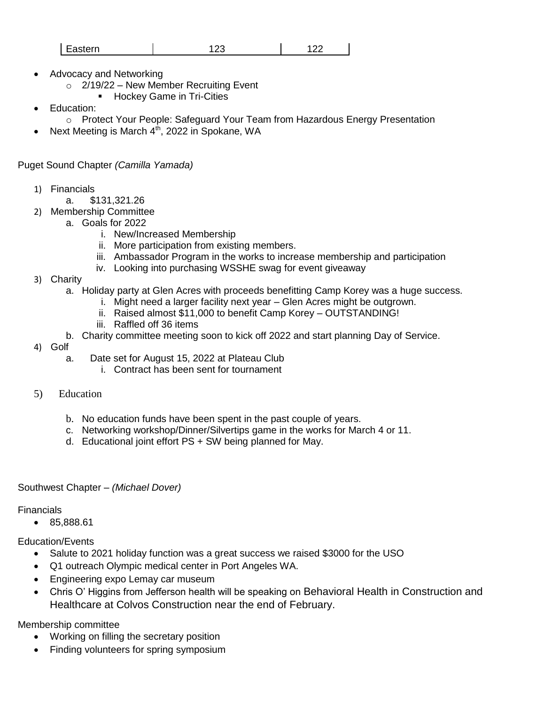| $\sim$<br>$\sim$ ntorn $\sim$<br>asten.<br>--<br>--<br>------<br>$\sim$ |  |  |
|-------------------------------------------------------------------------|--|--|
|-------------------------------------------------------------------------|--|--|

- Advocacy and Networking
	- $\circ$  2/19/22 New Member Recruiting Event
		- **Hockey Game in Tri-Cities**
- Education:
	- o Protect Your People: Safeguard Your Team from Hazardous Energy Presentation
- Next Meeting is March 4<sup>th</sup>, 2022 in Spokane, WA

Puget Sound Chapter *(Camilla Yamada)*

- 1) Financials
	- a. \$131,321.26
- 2) Membership Committee
	- a. Goals for 2022
		- i. New/Increased Membership
		- ii. More participation from existing members.
		- iii. Ambassador Program in the works to increase membership and participation
		- iv. Looking into purchasing WSSHE swag for event giveaway
- 3) Charity
	- a. Holiday party at Glen Acres with proceeds benefitting Camp Korey was a huge success.
		- i. Might need a larger facility next year Glen Acres might be outgrown.
		- ii. Raised almost \$11,000 to benefit Camp Korey OUTSTANDING!
		- iii. Raffled off 36 items
	- b. Charity committee meeting soon to kick off 2022 and start planning Day of Service.
- 4) Golf
	- a. Date set for August 15, 2022 at Plateau Club
		- i. Contract has been sent for tournament
- 5) Education
	- b. No education funds have been spent in the past couple of years.
	- c. Networking workshop/Dinner/Silvertips game in the works for March 4 or 11.
	- d. Educational joint effort PS + SW being planned for May.
- Southwest Chapter *(Michael Dover)*

Financials

• 85,888.61

Education/Events

- Salute to 2021 holiday function was a great success we raised \$3000 for the USO
- Q1 outreach Olympic medical center in Port Angeles WA.
- Engineering expo Lemay car museum
- Chris O' Higgins from Jefferson health will be speaking on Behavioral Health in Construction and Healthcare at Colvos Construction near the end of February.

Membership committee

- Working on filling the secretary position
- Finding volunteers for spring symposium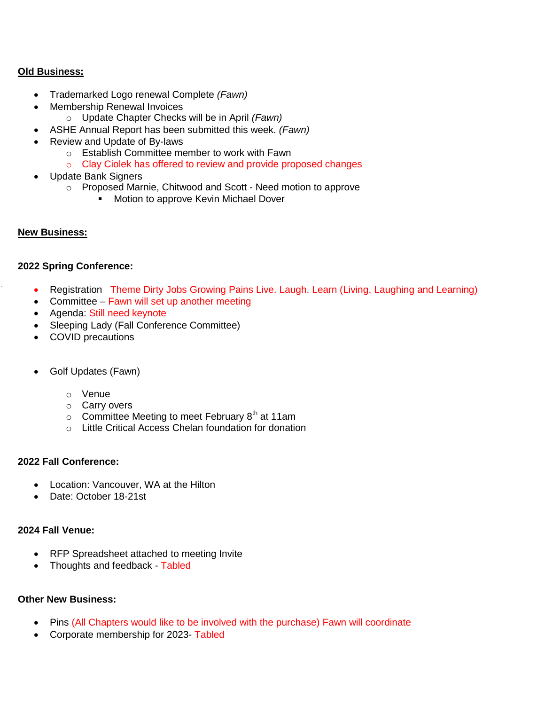### **Old Business:**

- Trademarked Logo renewal Complete *(Fawn)*
- Membership Renewal Invoices
	- o Update Chapter Checks will be in April *(Fawn)*
- ASHE Annual Report has been submitted this week. *(Fawn)*
- Review and Update of By-laws
	- o Establish Committee member to work with Fawn
	- o Clay Ciolek has offered to review and provide proposed changes
- Update Bank Signers
	- o Proposed Marnie, Chitwood and Scott Need motion to approve
		- **Motion to approve Kevin Michael Dover**

#### **New Business:**

#### **2022 Spring Conference:**

- Registration Theme Dirty Jobs Growing Pains Live. Laugh. Learn (Living, Laughing and Learning)
- Committee Fawn will set up another meeting
- Agenda: Still need keynote
- Sleeping Lady (Fall Conference Committee)
- COVID precautions
- Golf Updates (Fawn)
	- o Venue
	- o Carry overs
	- $\circ$  Committee Meeting to meet February 8<sup>th</sup> at 11am
	- o Little Critical Access Chelan foundation for donation

#### **2022 Fall Conference:**

- Location: Vancouver, WA at the Hilton
- Date: October 18-21st

#### **2024 Fall Venue:**

- RFP Spreadsheet attached to meeting Invite
- Thoughts and feedback Tabled

#### **Other New Business:**

- Pins (All Chapters would like to be involved with the purchase) Fawn will coordinate
- Corporate membership for 2023- Tabled